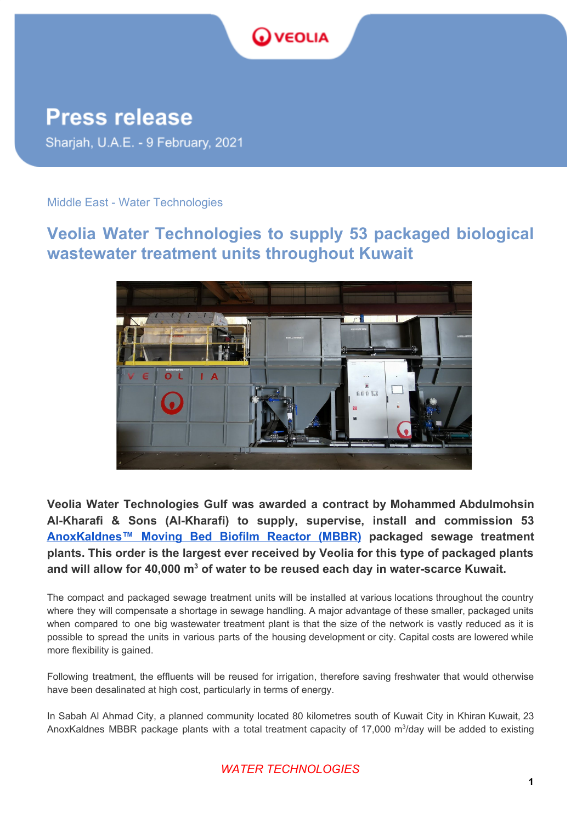

**Press release** Sharjah, U.A.E. - 9 February, 2021

## Middle East - Water Technologies

## **Veolia Water Technologies to supply 53 packaged biological wastewater treatment units throughout Kuwait**



**Veolia Water Technologies Gulf was awarded a contract by Mohammed Abdulmohsin Al-Kharafi & Sons (Al-Kharafi) to supply, supervise, install and commission 53 [AnoxKaldnes™](https://www.middle-east.veoliawatertechnologies.com/products/anoxkaldnes-mbbr?__cf_chl_jschl_tk__=d44089cbda28ee1266e70a9a59477919c476a8fd-1606508447-0-AZB32TcPQP1a3DoYo4sQn0Frpw1h8eAvexQQn6gQdeXuKpaA3gJqvNj7s3nCtunXi9oj8A4cqGWuKHQRH5xYQQH3hpGmXm6AW6ml1ZvP-5Sb_x6hsnVHMntb0w3MZPzwwqoalmCRMMr5UNYuWRg6wDDGrN2JtYozOrjU_D1bba_c2-inqYLYSqQu8PC5q9_0nieScvNCfs1LU__EVnjDGk5rqlnId78obXwDPYGv28Sxn_xwHKTUexs3yxfhwPH6htL55EMzVPKj-ebYcfg0AScr8soG5clyuW_jKDtlbat2pyov_7AT1H7Ycki8Gun78uF7uqIIZIaDHxV_RGkbIDlbsKnfWdzodwGWkE9jgxd6x6YKFw2T0XPYMPoZBQadrw) Moving Bed Biofilm Reactor (MBBR) packaged sewage treatment plants. This order is the largest ever received by Veolia for this type of packaged plants and will allow for 40,000 m<sup>3</sup> of water to be reused each day in water-scarce Kuwait.**

The compact and packaged sewage treatment units will be installed at various locations throughout the country where they will compensate a shortage in sewage handling. A major advantage of these smaller, packaged units when compared to one big wastewater treatment plant is that the size of the network is vastly reduced as it is possible to spread the units in various parts of the housing development or city. Capital costs are lowered while more flexibility is gained.

Following treatment, the effluents will be reused for irrigation, therefore saving freshwater that would otherwise have been desalinated at high cost, particularly in terms of energy.

In Sabah Al Ahmad City, a planned community located 80 kilometres south of Kuwait City in Khiran Kuwait, 23 AnoxKaldnes MBBR package plants with a total treatment capacity of 17,000 m<sup>3</sup>/day will be added to existing